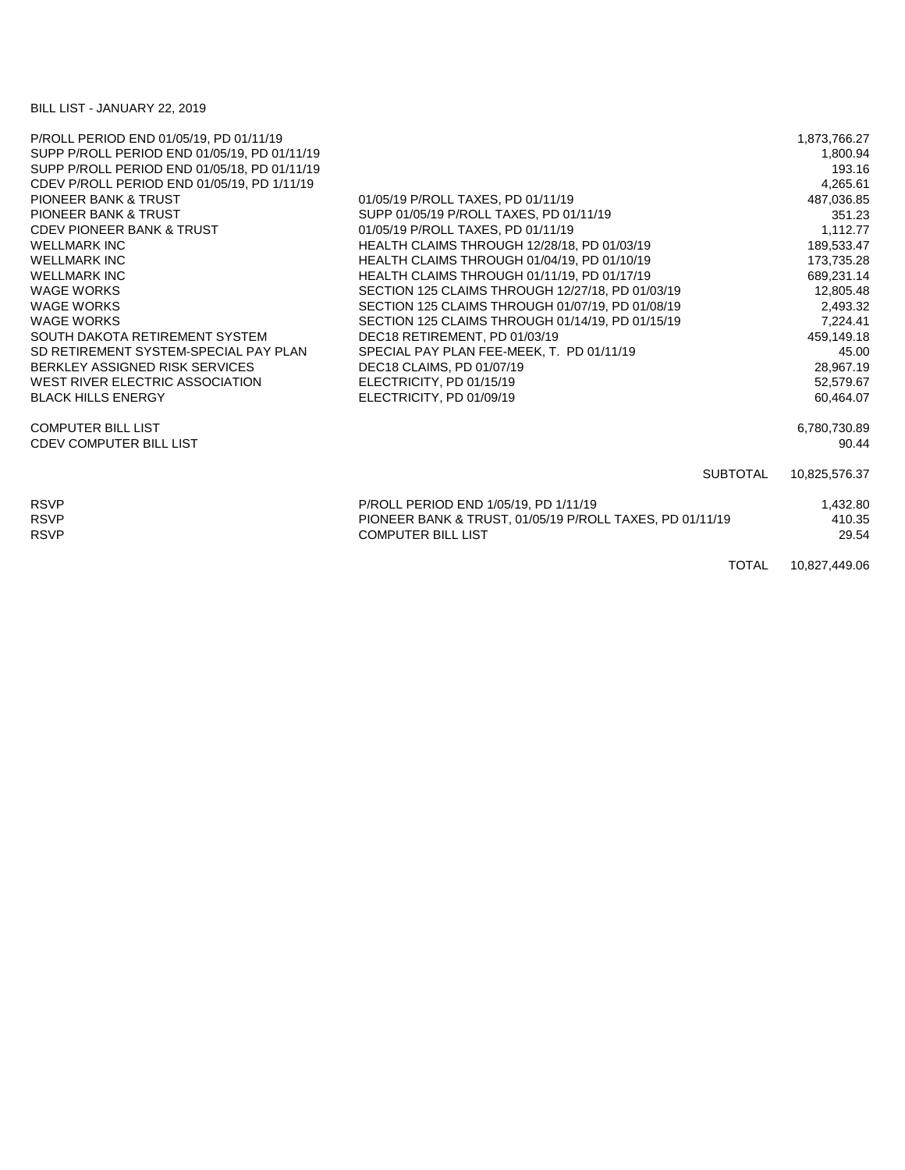## BILL LIST - JANUARY 22, 2019

|                                                  | 1,873,766.27                                                                                      |
|--------------------------------------------------|---------------------------------------------------------------------------------------------------|
|                                                  | 1,800.94                                                                                          |
|                                                  | 193.16                                                                                            |
|                                                  | 4,265.61                                                                                          |
| 01/05/19 P/ROLL TAXES, PD 01/11/19               | 487,036.85                                                                                        |
| SUPP 01/05/19 P/ROLL TAXES, PD 01/11/19          | 351.23                                                                                            |
| 01/05/19 P/ROLL TAXES, PD 01/11/19               | 1,112.77                                                                                          |
| HEALTH CLAIMS THROUGH 12/28/18, PD 01/03/19      | 189,533.47                                                                                        |
| HEALTH CLAIMS THROUGH 01/04/19, PD 01/10/19      | 173,735.28                                                                                        |
| HEALTH CLAIMS THROUGH 01/11/19, PD 01/17/19      | 689,231.14                                                                                        |
| SECTION 125 CLAIMS THROUGH 12/27/18, PD 01/03/19 | 12,805.48                                                                                         |
| SECTION 125 CLAIMS THROUGH 01/07/19, PD 01/08/19 | 2,493.32                                                                                          |
| SECTION 125 CLAIMS THROUGH 01/14/19, PD 01/15/19 | 7,224.41                                                                                          |
| DEC18 RETIREMENT, PD 01/03/19                    | 459,149.18                                                                                        |
| SPECIAL PAY PLAN FEE-MEEK, T. PD 01/11/19        | 45.00                                                                                             |
| DEC18 CLAIMS, PD 01/07/19                        | 28,967.19                                                                                         |
| ELECTRICITY, PD 01/15/19                         | 52,579.67                                                                                         |
| ELECTRICITY, PD 01/09/19                         | 60.464.07                                                                                         |
|                                                  | 6,780,730.89                                                                                      |
|                                                  | 90.44                                                                                             |
| <b>SUBTOTAL</b>                                  | 10,825,576.37                                                                                     |
|                                                  | 1,432.80                                                                                          |
|                                                  | 410.35                                                                                            |
| <b>COMPUTER BILL LIST</b>                        | 29.54                                                                                             |
| <b>TOTAL</b>                                     | 10,827,449.06                                                                                     |
|                                                  | P/ROLL PERIOD END 1/05/19, PD 1/11/19<br>PIONEER BANK & TRUST, 01/05/19 P/ROLL TAXES, PD 01/11/19 |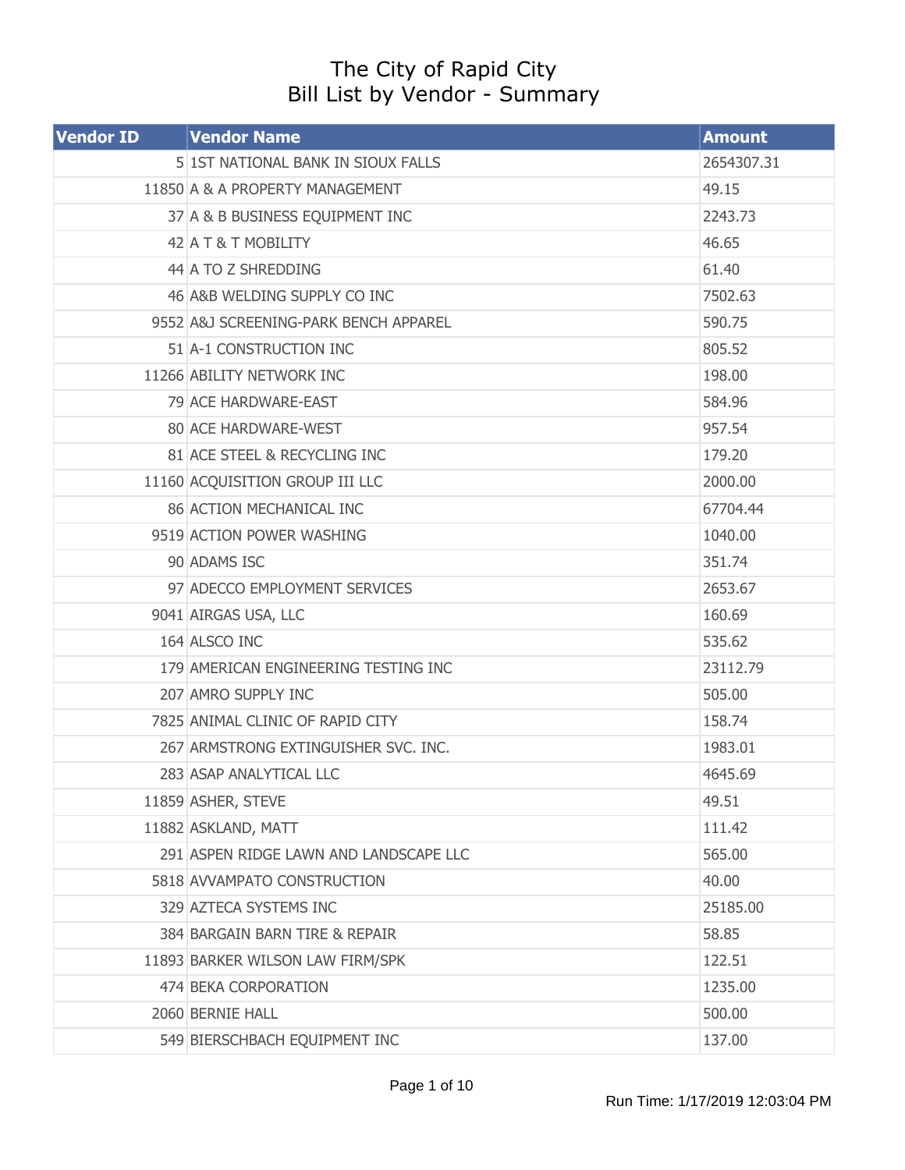## The City of Rapid City Bill List by Vendor - Summary

| <b>Vendor ID</b> | <b>Vendor Name</b>                     | <b>Amount</b> |
|------------------|----------------------------------------|---------------|
|                  | 5 1ST NATIONAL BANK IN SIOUX FALLS     | 2654307.31    |
|                  | 11850 A & A PROPERTY MANAGEMENT        | 49.15         |
|                  | 37 A & B BUSINESS EQUIPMENT INC        | 2243.73       |
|                  | 42 A T & T MOBILITY                    | 46.65         |
|                  | 44 A TO Z SHREDDING                    | 61.40         |
|                  | 46 A&B WELDING SUPPLY CO INC           | 7502.63       |
|                  | 9552 A&J SCREENING-PARK BENCH APPAREL  | 590.75        |
|                  | 51 A-1 CONSTRUCTION INC                | 805.52        |
|                  | 11266 ABILITY NETWORK INC              | 198.00        |
|                  | 79 ACE HARDWARE-EAST                   | 584.96        |
|                  | 80 ACE HARDWARE-WEST                   | 957.54        |
|                  | 81 ACE STEEL & RECYCLING INC           | 179.20        |
|                  | 11160 ACQUISITION GROUP III LLC        | 2000.00       |
|                  | <b>86 ACTION MECHANICAL INC</b>        | 67704.44      |
|                  | 9519 ACTION POWER WASHING              | 1040.00       |
|                  | 90 ADAMS ISC                           | 351.74        |
|                  | 97 ADECCO EMPLOYMENT SERVICES          | 2653.67       |
|                  | 9041 AIRGAS USA, LLC                   | 160.69        |
|                  | 164 ALSCO INC                          | 535.62        |
|                  | 179 AMERICAN ENGINEERING TESTING INC   | 23112.79      |
|                  | 207 AMRO SUPPLY INC                    | 505.00        |
|                  | 7825 ANIMAL CLINIC OF RAPID CITY       | 158.74        |
|                  | 267 ARMSTRONG EXTINGUISHER SVC. INC.   | 1983.01       |
|                  | 283 ASAP ANALYTICAL LLC                | 4645.69       |
|                  | 11859 ASHER, STEVE                     | 49.51         |
|                  | 11882 ASKLAND, MATT                    | 111.42        |
|                  | 291 ASPEN RIDGE LAWN AND LANDSCAPE LLC | 565.00        |
|                  | 5818 AVVAMPATO CONSTRUCTION            | 40.00         |
|                  | 329 AZTECA SYSTEMS INC                 | 25185.00      |
|                  | 384 BARGAIN BARN TIRE & REPAIR         | 58.85         |
|                  | 11893 BARKER WILSON LAW FIRM/SPK       | 122.51        |
|                  | 474 BEKA CORPORATION                   | 1235.00       |
|                  | 2060 BERNIE HALL                       | 500.00        |
|                  | 549 BIERSCHBACH EQUIPMENT INC          | 137.00        |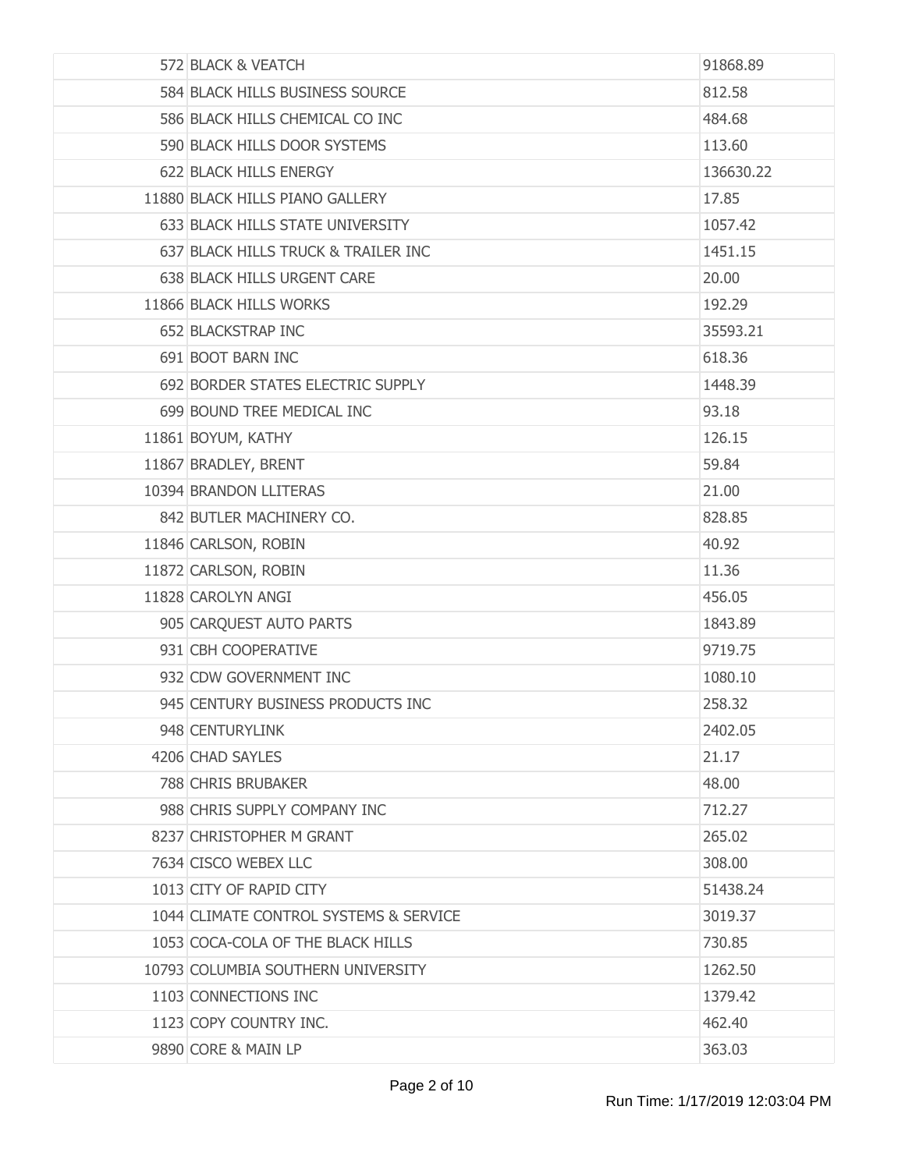| 572 BLACK & VEATCH                     | 91868.89  |
|----------------------------------------|-----------|
| 584 BLACK HILLS BUSINESS SOURCE        | 812.58    |
| 586 BLACK HILLS CHEMICAL CO INC        | 484.68    |
| 590 BLACK HILLS DOOR SYSTEMS           | 113.60    |
| 622 BLACK HILLS ENERGY                 | 136630.22 |
| 11880 BLACK HILLS PIANO GALLERY        | 17.85     |
| 633 BLACK HILLS STATE UNIVERSITY       | 1057.42   |
| 637 BLACK HILLS TRUCK & TRAILER INC    | 1451.15   |
| 638 BLACK HILLS URGENT CARE            | 20.00     |
| 11866 BLACK HILLS WORKS                | 192.29    |
| 652 BLACKSTRAP INC                     | 35593.21  |
| 691 BOOT BARN INC                      | 618.36    |
| 692 BORDER STATES ELECTRIC SUPPLY      | 1448.39   |
| 699 BOUND TREE MEDICAL INC             | 93.18     |
| 11861 BOYUM, KATHY                     | 126.15    |
| 11867 BRADLEY, BRENT                   | 59.84     |
| 10394 BRANDON LLITERAS                 | 21.00     |
| 842 BUTLER MACHINERY CO.               | 828.85    |
| 11846 CARLSON, ROBIN                   | 40.92     |
| 11872 CARLSON, ROBIN                   | 11.36     |
| 11828 CAROLYN ANGI                     | 456.05    |
| 905 CARQUEST AUTO PARTS                | 1843.89   |
| 931 CBH COOPERATIVE                    | 9719.75   |
| 932 CDW GOVERNMENT INC                 | 1080.10   |
| 945 CENTURY BUSINESS PRODUCTS INC      | 258.32    |
| 948 CENTURYLINK                        | 2402.05   |
| 4206 CHAD SAYLES                       | 21.17     |
| 788 CHRIS BRUBAKER                     | 48.00     |
| 988 CHRIS SUPPLY COMPANY INC           | 712.27    |
| 8237 CHRISTOPHER M GRANT               | 265.02    |
| 7634 CISCO WEBEX LLC                   | 308.00    |
| 1013 CITY OF RAPID CITY                | 51438.24  |
| 1044 CLIMATE CONTROL SYSTEMS & SERVICE | 3019.37   |
| 1053 COCA-COLA OF THE BLACK HILLS      | 730.85    |
| 10793 COLUMBIA SOUTHERN UNIVERSITY     | 1262.50   |
| 1103 CONNECTIONS INC                   | 1379.42   |
| 1123 COPY COUNTRY INC.                 | 462.40    |
| 9890 CORE & MAIN LP                    | 363.03    |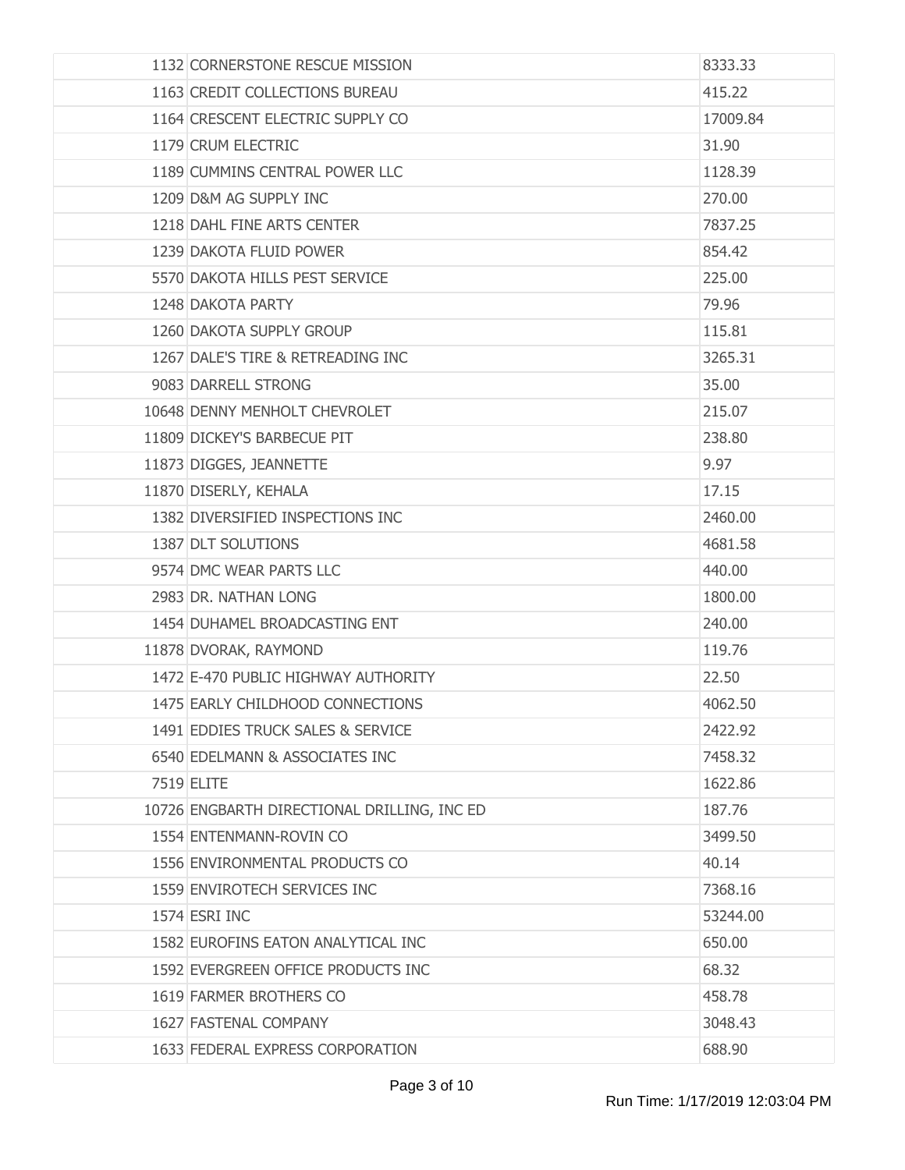| 1132 CORNERSTONE RESCUE MISSION             | 8333.33  |
|---------------------------------------------|----------|
| 1163 CREDIT COLLECTIONS BUREAU              | 415.22   |
| 1164 CRESCENT ELECTRIC SUPPLY CO            | 17009.84 |
| 1179 CRUM ELECTRIC                          | 31.90    |
| 1189 CUMMINS CENTRAL POWER LLC              | 1128.39  |
| 1209 D&M AG SUPPLY INC                      | 270.00   |
| 1218 DAHL FINE ARTS CENTER                  | 7837.25  |
| 1239 DAKOTA FLUID POWER                     | 854.42   |
| 5570 DAKOTA HILLS PEST SERVICE              | 225.00   |
| 1248 DAKOTA PARTY                           | 79.96    |
| 1260 DAKOTA SUPPLY GROUP                    | 115.81   |
| 1267 DALE'S TIRE & RETREADING INC           | 3265.31  |
| 9083 DARRELL STRONG                         | 35,00    |
| 10648 DENNY MENHOLT CHEVROLET               | 215.07   |
| 11809 DICKEY'S BARBECUE PIT                 | 238.80   |
| 11873 DIGGES, JEANNETTE                     | 9.97     |
| 11870 DISERLY, KEHALA                       | 17.15    |
| 1382 DIVERSIFIED INSPECTIONS INC            | 2460.00  |
| 1387 DLT SOLUTIONS                          | 4681.58  |
| 9574 DMC WEAR PARTS LLC                     | 440.00   |
| 2983 DR. NATHAN LONG                        | 1800.00  |
| 1454 DUHAMEL BROADCASTING ENT               | 240.00   |
| 11878 DVORAK, RAYMOND                       | 119.76   |
| 1472 E-470 PUBLIC HIGHWAY AUTHORITY         | 22.50    |
| 1475 EARLY CHILDHOOD CONNECTIONS            | 4062.50  |
| 1491 EDDIES TRUCK SALES & SERVICE           | 2422.92  |
| 6540 EDELMANN & ASSOCIATES INC              | 7458.32  |
| 7519 ELITE                                  | 1622.86  |
| 10726 ENGBARTH DIRECTIONAL DRILLING, INC ED | 187.76   |
| 1554 ENTENMANN-ROVIN CO                     | 3499.50  |
| 1556 ENVIRONMENTAL PRODUCTS CO              | 40.14    |
| 1559 ENVIROTECH SERVICES INC                | 7368.16  |
| 1574 ESRI INC                               | 53244.00 |
| 1582 EUROFINS EATON ANALYTICAL INC          | 650.00   |
| 1592 EVERGREEN OFFICE PRODUCTS INC          | 68.32    |
| 1619 FARMER BROTHERS CO                     | 458.78   |
| 1627 FASTENAL COMPANY                       | 3048.43  |
| 1633 FEDERAL EXPRESS CORPORATION            | 688.90   |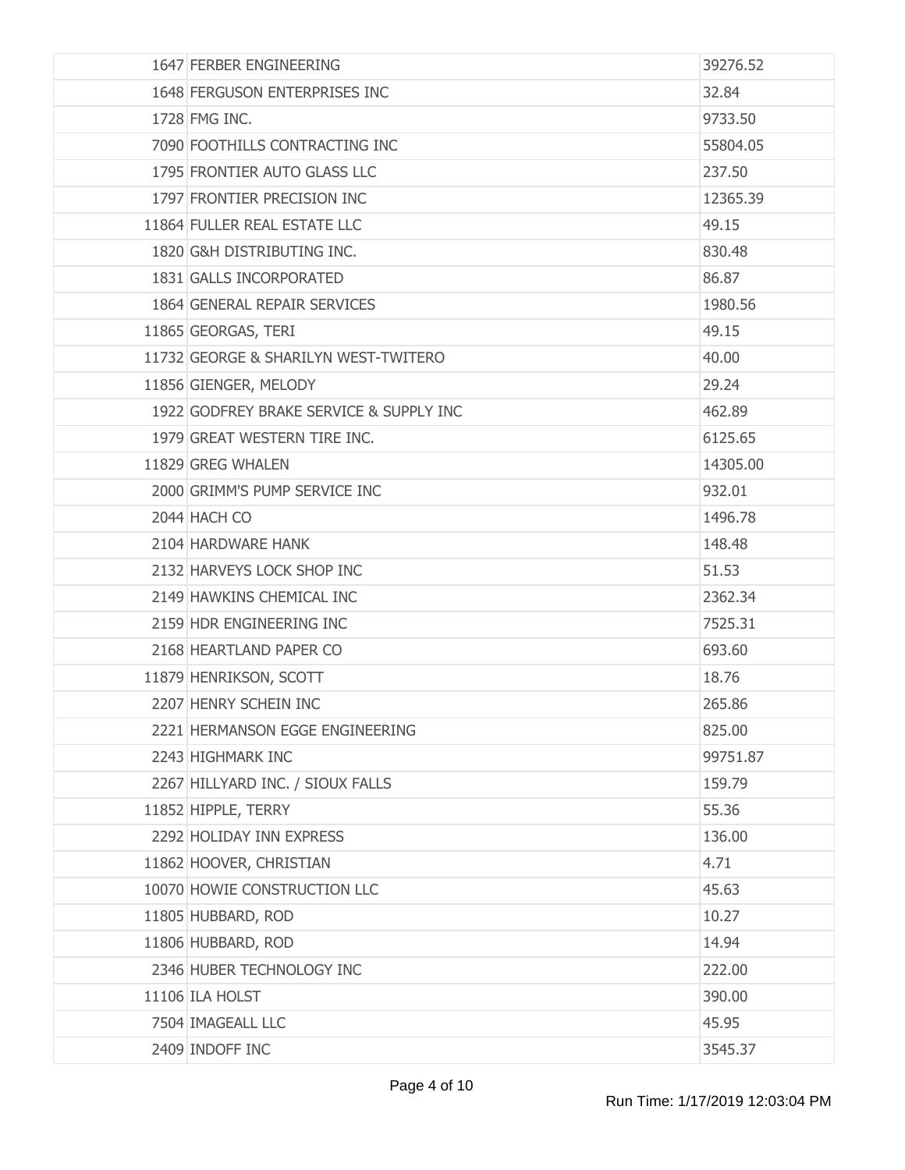| 1647 FERBER ENGINEERING                 | 39276.52 |
|-----------------------------------------|----------|
| 1648 FERGUSON ENTERPRISES INC           | 32.84    |
| 1728 FMG INC.                           | 9733.50  |
| 7090 FOOTHILLS CONTRACTING INC          | 55804.05 |
| 1795 FRONTIER AUTO GLASS LLC            | 237.50   |
| 1797 FRONTIER PRECISION INC             | 12365.39 |
| 11864 FULLER REAL ESTATE LLC            | 49.15    |
| 1820 G&H DISTRIBUTING INC.              | 830.48   |
| 1831 GALLS INCORPORATED                 | 86.87    |
| 1864 GENERAL REPAIR SERVICES            | 1980.56  |
| 11865 GEORGAS, TERI                     | 49.15    |
| 11732 GEORGE & SHARILYN WEST-TWITERO    | 40.00    |
| 11856 GIENGER, MELODY                   | 29.24    |
| 1922 GODFREY BRAKE SERVICE & SUPPLY INC | 462.89   |
| 1979 GREAT WESTERN TIRE INC.            | 6125.65  |
| 11829 GREG WHALEN                       | 14305.00 |
| 2000 GRIMM'S PUMP SERVICE INC           | 932.01   |
| 2044 HACH CO                            | 1496.78  |
| 2104 HARDWARE HANK                      | 148.48   |
| 2132 HARVEYS LOCK SHOP INC              | 51.53    |
| 2149 HAWKINS CHEMICAL INC               | 2362.34  |
| 2159 HDR ENGINEERING INC                | 7525.31  |
| 2168 HEARTLAND PAPER CO                 | 693.60   |
| 11879 HENRIKSON, SCOTT                  | 18.76    |
| 2207 HENRY SCHEIN INC                   | 265.86   |
| 2221 HERMANSON EGGE ENGINEERING         | 825.00   |
| 2243 HIGHMARK INC                       | 99751.87 |
| 2267 HILLYARD INC. / SIOUX FALLS        | 159.79   |
| 11852 HIPPLE, TERRY                     | 55.36    |
| 2292 HOLIDAY INN EXPRESS                | 136.00   |
| 11862 HOOVER, CHRISTIAN                 | 4.71     |
| 10070 HOWIE CONSTRUCTION LLC            | 45.63    |
| 11805 HUBBARD, ROD                      | 10.27    |
| 11806 HUBBARD, ROD                      | 14.94    |
| 2346 HUBER TECHNOLOGY INC               | 222.00   |
| 11106 ILA HOLST                         | 390.00   |
| 7504 IMAGEALL LLC                       | 45.95    |
| 2409 INDOFF INC                         | 3545.37  |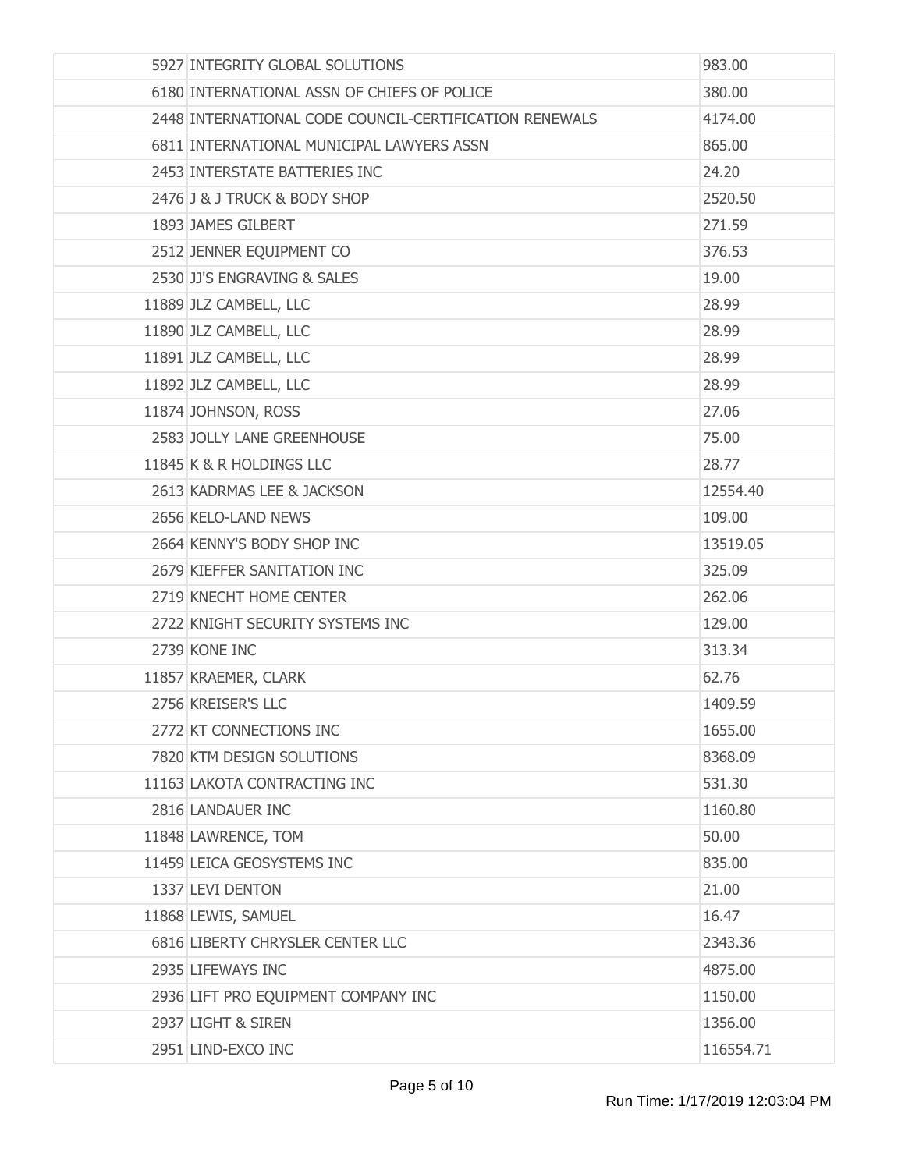| 5927 INTEGRITY GLOBAL SOLUTIONS                        | 983.00    |
|--------------------------------------------------------|-----------|
| 6180 INTERNATIONAL ASSN OF CHIEFS OF POLICE            | 380.00    |
| 2448 INTERNATIONAL CODE COUNCIL-CERTIFICATION RENEWALS | 4174.00   |
| 6811 INTERNATIONAL MUNICIPAL LAWYERS ASSN              | 865.00    |
| 2453 INTERSTATE BATTERIES INC                          | 24.20     |
| 2476 J & J TRUCK & BODY SHOP                           | 2520.50   |
| 1893 JAMES GILBERT                                     | 271.59    |
| 2512 JENNER EQUIPMENT CO                               | 376.53    |
| 2530 JJ'S ENGRAVING & SALES                            | 19.00     |
| 11889 JLZ CAMBELL, LLC                                 | 28.99     |
| 11890 JLZ CAMBELL, LLC                                 | 28.99     |
| 11891 JLZ CAMBELL, LLC                                 | 28.99     |
| 11892 JLZ CAMBELL, LLC                                 | 28.99     |
| 11874 JOHNSON, ROSS                                    | 27.06     |
| 2583 JOLLY LANE GREENHOUSE                             | 75.00     |
| 11845 K & R HOLDINGS LLC                               | 28.77     |
| 2613 KADRMAS LEE & JACKSON                             | 12554.40  |
| 2656 KELO-LAND NEWS                                    | 109.00    |
| 2664 KENNY'S BODY SHOP INC                             | 13519.05  |
| 2679 KIEFFER SANITATION INC                            | 325.09    |
| 2719 KNECHT HOME CENTER                                | 262.06    |
| 2722 KNIGHT SECURITY SYSTEMS INC                       | 129.00    |
| 2739 KONE INC                                          | 313.34    |
| 11857 KRAEMER, CLARK                                   | 62.76     |
| 2756 KREISER'S LLC                                     | 1409.59   |
| 2772 KT CONNECTIONS INC                                | 1655.00   |
| 7820 KTM DESIGN SOLUTIONS                              | 8368.09   |
| 11163 LAKOTA CONTRACTING INC                           | 531.30    |
| 2816 LANDAUER INC                                      | 1160.80   |
| 11848 LAWRENCE, TOM                                    | 50.00     |
| 11459 LEICA GEOSYSTEMS INC                             | 835.00    |
| 1337 LEVI DENTON                                       | 21.00     |
| 11868 LEWIS, SAMUEL                                    | 16.47     |
| 6816 LIBERTY CHRYSLER CENTER LLC                       | 2343.36   |
| 2935 LIFEWAYS INC                                      | 4875.00   |
| 2936 LIFT PRO EQUIPMENT COMPANY INC                    | 1150.00   |
| 2937 LIGHT & SIREN                                     | 1356.00   |
| 2951 LIND-EXCO INC                                     | 116554.71 |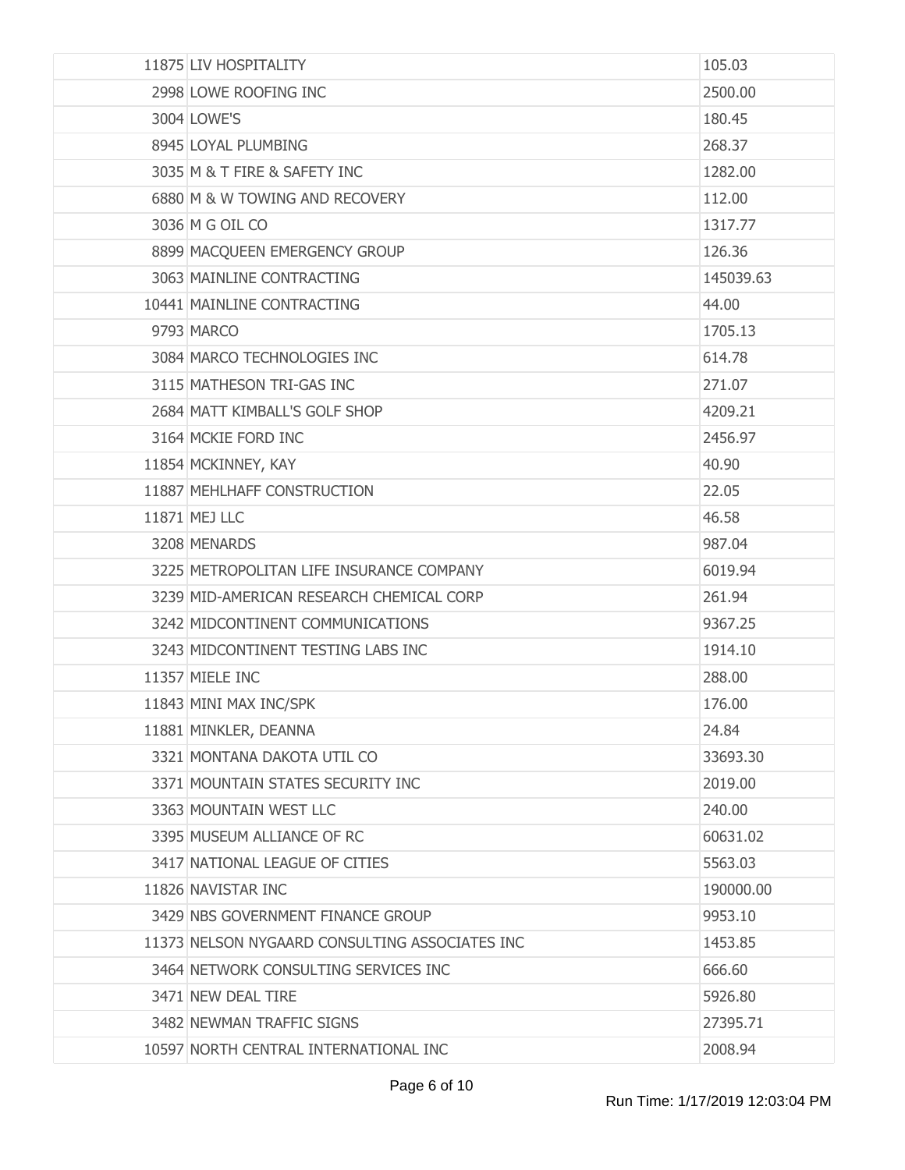| 11875 LIV HOSPITALITY                          | 105.03    |
|------------------------------------------------|-----------|
| 2998 LOWE ROOFING INC                          | 2500.00   |
| 3004 LOWE'S                                    | 180.45    |
| 8945 LOYAL PLUMBING                            | 268.37    |
| 3035 M & T FIRE & SAFETY INC                   | 1282.00   |
| 6880 M & W TOWING AND RECOVERY                 | 112.00    |
| 3036 M G OIL CO                                | 1317.77   |
| 8899 MACQUEEN EMERGENCY GROUP                  | 126.36    |
| 3063 MAINLINE CONTRACTING                      | 145039.63 |
| 10441 MAINLINE CONTRACTING                     | 44.00     |
| 9793 MARCO                                     | 1705.13   |
| 3084 MARCO TECHNOLOGIES INC                    | 614.78    |
| 3115 MATHESON TRI-GAS INC                      | 271.07    |
| 2684 MATT KIMBALL'S GOLF SHOP                  | 4209.21   |
| 3164 MCKIE FORD INC                            | 2456.97   |
| 11854 MCKINNEY, KAY                            | 40.90     |
| 11887 MEHLHAFF CONSTRUCTION                    | 22.05     |
| 11871 MEJ LLC                                  | 46.58     |
| 3208 MENARDS                                   | 987.04    |
| 3225 METROPOLITAN LIFE INSURANCE COMPANY       | 6019.94   |
| 3239 MID-AMERICAN RESEARCH CHEMICAL CORP       | 261.94    |
| 3242 MIDCONTINENT COMMUNICATIONS               | 9367.25   |
| 3243 MIDCONTINENT TESTING LABS INC             | 1914.10   |
| 11357 MIELE INC                                | 288,00    |
| 11843 MINI MAX INC/SPK                         | 176.00    |
| 11881 MINKLER, DEANNA                          | 24.84     |
| 3321 MONTANA DAKOTA UTIL CO                    | 33693.30  |
| 3371 MOUNTAIN STATES SECURITY INC              | 2019.00   |
| 3363 MOUNTAIN WEST LLC                         | 240.00    |
| 3395 MUSEUM ALLIANCE OF RC                     | 60631.02  |
| 3417 NATIONAL LEAGUE OF CITIES                 | 5563.03   |
| 11826 NAVISTAR INC                             | 190000.00 |
| 3429 NBS GOVERNMENT FINANCE GROUP              | 9953.10   |
| 11373 NELSON NYGAARD CONSULTING ASSOCIATES INC | 1453.85   |
| 3464 NETWORK CONSULTING SERVICES INC           | 666.60    |
| 3471 NEW DEAL TIRE                             | 5926.80   |
| 3482 NEWMAN TRAFFIC SIGNS                      | 27395.71  |
| 10597 NORTH CENTRAL INTERNATIONAL INC          | 2008.94   |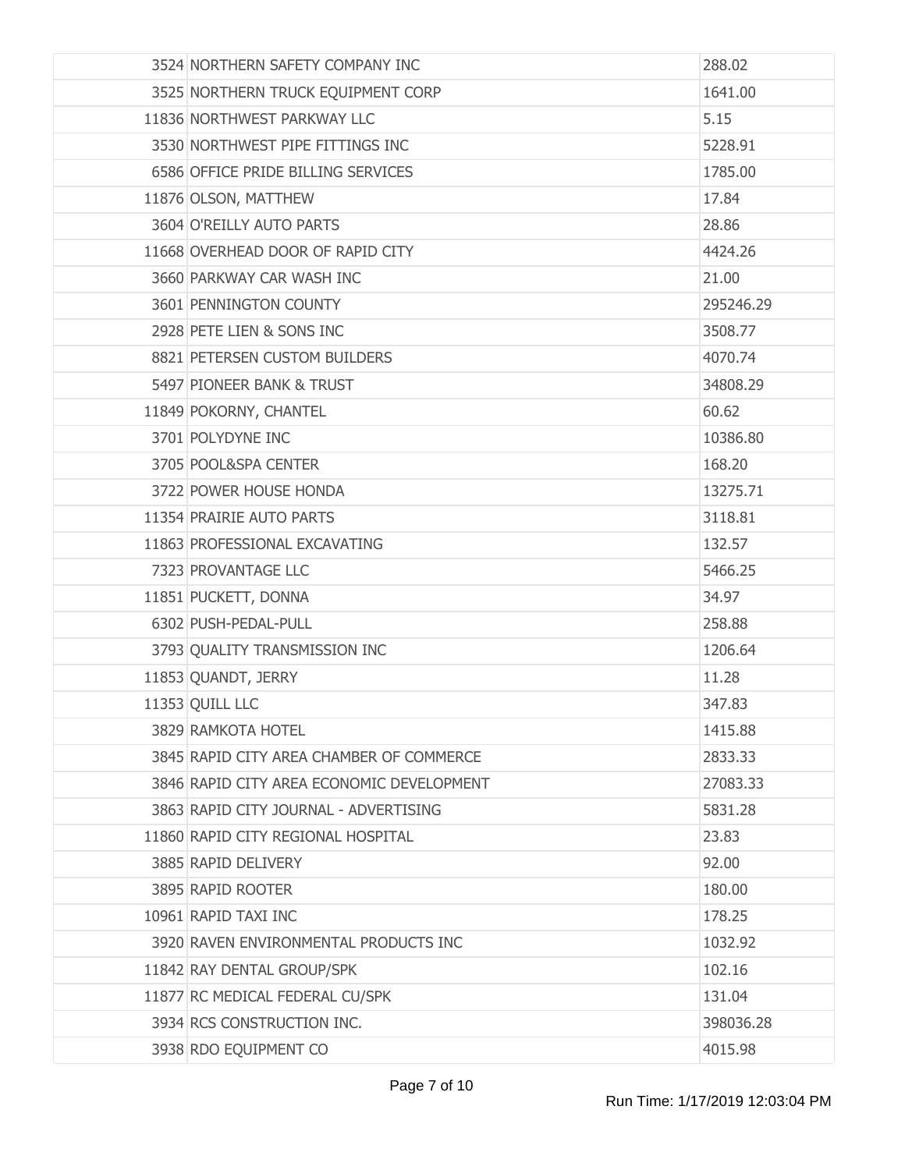| 3524 NORTHERN SAFETY COMPANY INC          | 288.02    |
|-------------------------------------------|-----------|
| 3525 NORTHERN TRUCK EQUIPMENT CORP        | 1641.00   |
| 11836 NORTHWEST PARKWAY LLC               | 5.15      |
| 3530 NORTHWEST PIPE FITTINGS INC          | 5228.91   |
| 6586 OFFICE PRIDE BILLING SERVICES        | 1785.00   |
| 11876 OLSON, MATTHEW                      | 17.84     |
| 3604 O'REILLY AUTO PARTS                  | 28.86     |
| 11668 OVERHEAD DOOR OF RAPID CITY         | 4424.26   |
| 3660 PARKWAY CAR WASH INC                 | 21.00     |
| 3601 PENNINGTON COUNTY                    | 295246.29 |
| 2928 PETE LIEN & SONS INC                 | 3508.77   |
| 8821 PETERSEN CUSTOM BUILDERS             | 4070.74   |
| 5497 PIONEER BANK & TRUST                 | 34808.29  |
| 11849 POKORNY, CHANTEL                    | 60.62     |
| 3701 POLYDYNE INC                         | 10386.80  |
| 3705 POOL&SPA CENTER                      | 168.20    |
| 3722 POWER HOUSE HONDA                    | 13275.71  |
| 11354 PRAIRIE AUTO PARTS                  | 3118.81   |
| 11863 PROFESSIONAL EXCAVATING             | 132.57    |
| 7323 PROVANTAGE LLC                       | 5466.25   |
| 11851 PUCKETT, DONNA                      | 34.97     |
| 6302 PUSH-PEDAL-PULL                      | 258.88    |
| 3793 QUALITY TRANSMISSION INC             | 1206.64   |
| 11853 QUANDT, JERRY                       | 11.28     |
| 11353 QUILL LLC                           | 347.83    |
| 3829 RAMKOTA HOTEL                        | 1415.88   |
| 3845 RAPID CITY AREA CHAMBER OF COMMERCE  | 2833.33   |
| 3846 RAPID CITY AREA ECONOMIC DEVELOPMENT | 27083.33  |
| 3863 RAPID CITY JOURNAL - ADVERTISING     | 5831.28   |
| 11860 RAPID CITY REGIONAL HOSPITAL        | 23.83     |
| 3885 RAPID DELIVERY                       | 92.00     |
| 3895 RAPID ROOTER                         | 180.00    |
| 10961 RAPID TAXI INC                      | 178.25    |
| 3920 RAVEN ENVIRONMENTAL PRODUCTS INC     | 1032.92   |
| 11842 RAY DENTAL GROUP/SPK                | 102.16    |
| 11877 RC MEDICAL FEDERAL CU/SPK           | 131.04    |
| 3934 RCS CONSTRUCTION INC.                | 398036.28 |
| 3938 RDO EQUIPMENT CO                     | 4015.98   |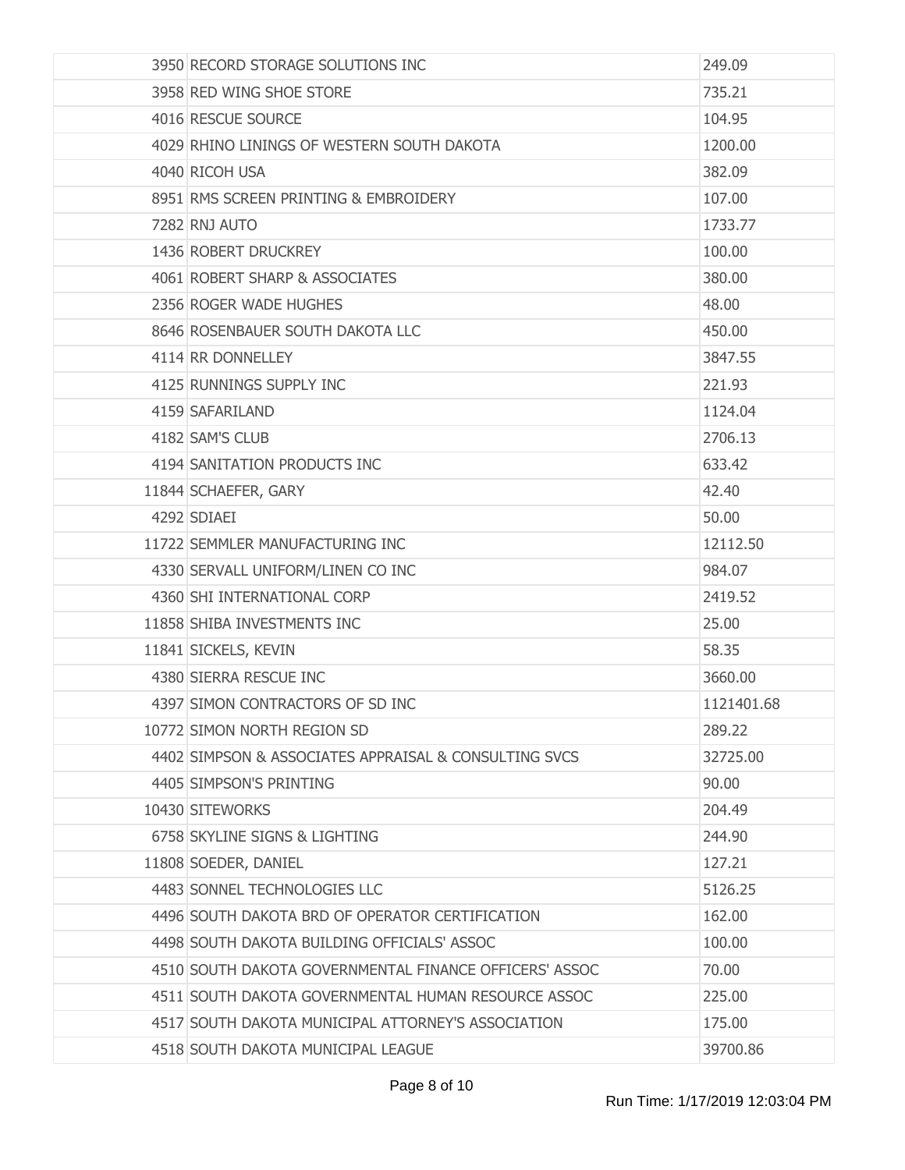| 3950 RECORD STORAGE SOLUTIONS INC                      | 249.09     |
|--------------------------------------------------------|------------|
| 3958 RED WING SHOE STORE                               | 735.21     |
| 4016 RESCUE SOURCE                                     | 104.95     |
| 4029 RHINO LININGS OF WESTERN SOUTH DAKOTA             | 1200.00    |
| 4040 RICOH USA                                         | 382.09     |
| 8951 RMS SCREEN PRINTING & EMBROIDERY                  | 107.00     |
| 7282 RNJ AUTO                                          | 1733.77    |
| 1436 ROBERT DRUCKREY                                   | 100.00     |
| 4061 ROBERT SHARP & ASSOCIATES                         | 380.00     |
| 2356 ROGER WADE HUGHES                                 | 48.00      |
| 8646 ROSENBAUER SOUTH DAKOTA LLC                       | 450.00     |
| 4114 RR DONNELLEY                                      | 3847.55    |
| 4125 RUNNINGS SUPPLY INC                               | 221.93     |
| 4159 SAFARILAND                                        | 1124.04    |
| 4182 SAM'S CLUB                                        | 2706.13    |
| 4194 SANITATION PRODUCTS INC                           | 633.42     |
| 11844 SCHAEFER, GARY                                   | 42.40      |
| 4292 SDIAEI                                            | 50.00      |
| 11722 SEMMLER MANUFACTURING INC                        | 12112.50   |
| 4330 SERVALL UNIFORM/LINEN CO INC                      | 984.07     |
| 4360 SHI INTERNATIONAL CORP                            | 2419.52    |
| 11858 SHIBA INVESTMENTS INC                            | 25.00      |
| 11841 SICKELS, KEVIN                                   | 58.35      |
| 4380 SIERRA RESCUE INC                                 | 3660,00    |
| 4397 SIMON CONTRACTORS OF SD INC                       | 1121401.68 |
| 10772 SIMON NORTH REGION SD                            | 289.22     |
| 4402 SIMPSON & ASSOCIATES APPRAISAL & CONSULTING SVCS  | 32725.00   |
| 4405 SIMPSON'S PRINTING                                | 90.00      |
| 10430 SITEWORKS                                        | 204.49     |
| 6758 SKYLINE SIGNS & LIGHTING                          | 244.90     |
| 11808 SOEDER, DANIEL                                   | 127.21     |
| 4483 SONNEL TECHNOLOGIES LLC                           | 5126.25    |
| 4496 SOUTH DAKOTA BRD OF OPERATOR CERTIFICATION        | 162.00     |
| 4498 SOUTH DAKOTA BUILDING OFFICIALS' ASSOC            | 100.00     |
| 4510 SOUTH DAKOTA GOVERNMENTAL FINANCE OFFICERS' ASSOC | 70.00      |
| 4511 SOUTH DAKOTA GOVERNMENTAL HUMAN RESOURCE ASSOC    | 225.00     |
| 4517 SOUTH DAKOTA MUNICIPAL ATTORNEY'S ASSOCIATION     | 175.00     |
| 4518 SOUTH DAKOTA MUNICIPAL LEAGUE                     | 39700.86   |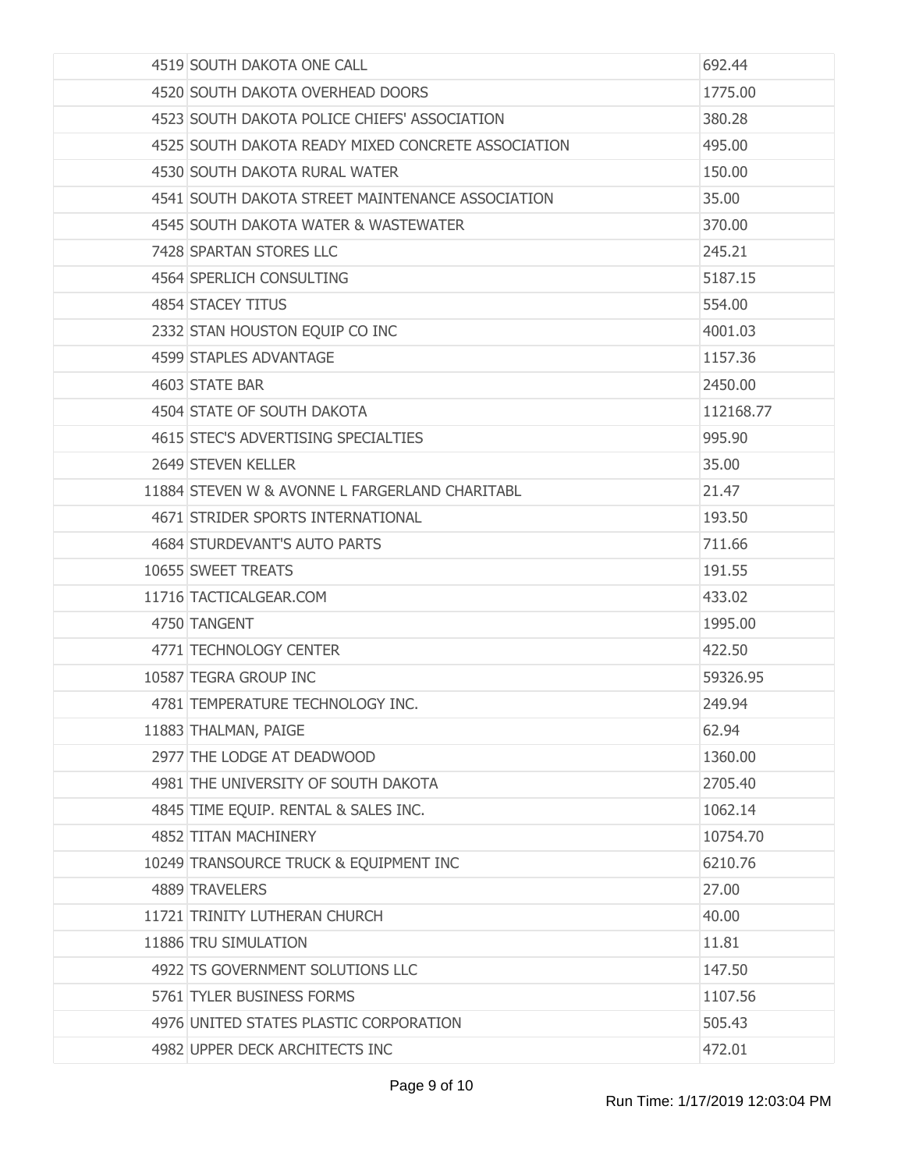| 4519 SOUTH DAKOTA ONE CALL                         | 692.44    |
|----------------------------------------------------|-----------|
| 4520 SOUTH DAKOTA OVERHEAD DOORS                   | 1775.00   |
| 4523 SOUTH DAKOTA POLICE CHIEFS' ASSOCIATION       | 380.28    |
| 4525 SOUTH DAKOTA READY MIXED CONCRETE ASSOCIATION | 495.00    |
| 4530 SOUTH DAKOTA RURAL WATER                      | 150.00    |
| 4541 SOUTH DAKOTA STREET MAINTENANCE ASSOCIATION   | 35.00     |
| 4545 SOUTH DAKOTA WATER & WASTEWATER               | 370.00    |
| 7428 SPARTAN STORES LLC                            | 245.21    |
| 4564 SPERLICH CONSULTING                           | 5187.15   |
| 4854 STACEY TITUS                                  | 554.00    |
| 2332 STAN HOUSTON EQUIP CO INC                     | 4001.03   |
| 4599 STAPLES ADVANTAGE                             | 1157.36   |
| 4603 STATE BAR                                     | 2450.00   |
| 4504 STATE OF SOUTH DAKOTA                         | 112168.77 |
| 4615 STEC'S ADVERTISING SPECIALTIES                | 995.90    |
| 2649 STEVEN KELLER                                 | 35.00     |
| 11884 STEVEN W & AVONNE L FARGERLAND CHARITABL     | 21.47     |
| 4671 STRIDER SPORTS INTERNATIONAL                  | 193.50    |
| 4684 STURDEVANT'S AUTO PARTS                       | 711.66    |
| 10655 SWEET TREATS                                 | 191.55    |
| 11716 TACTICALGEAR.COM                             | 433.02    |
| 4750 TANGENT                                       | 1995.00   |
| 4771 TECHNOLOGY CENTER                             | 422.50    |
| 10587 TEGRA GROUP INC                              | 59326.95  |
| 4781 TEMPERATURE TECHNOLOGY INC.                   | 249.94    |
| 11883 THALMAN, PAIGE                               | 62.94     |
| 2977 THE LODGE AT DEADWOOD                         | 1360.00   |
| 4981 THE UNIVERSITY OF SOUTH DAKOTA                | 2705.40   |
| 4845 TIME EQUIP. RENTAL & SALES INC.               | 1062.14   |
| 4852 TITAN MACHINERY                               | 10754.70  |
| 10249 TRANSOURCE TRUCK & EQUIPMENT INC             | 6210.76   |
| 4889 TRAVELERS                                     | 27.00     |
| 11721 TRINITY LUTHERAN CHURCH                      | 40.00     |
| 11886 TRU SIMULATION                               | 11.81     |
| 4922 TS GOVERNMENT SOLUTIONS LLC                   | 147.50    |
| 5761 TYLER BUSINESS FORMS                          | 1107.56   |
| 4976 UNITED STATES PLASTIC CORPORATION             | 505.43    |
| 4982 UPPER DECK ARCHITECTS INC                     | 472.01    |